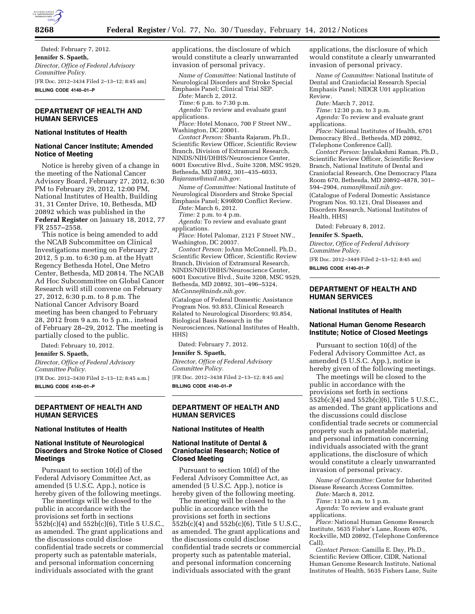

Dated: February 7, 2012. **Jennifer S. Spaeth,**  *Director, Office of Federal Advisory Committee Policy.*  [FR Doc. 2012–3434 Filed 2–13–12; 8:45 am] **BILLING CODE 4140–01–P** 

# **DEPARTMENT OF HEALTH AND HUMAN SERVICES**

### **National Institutes of Health**

## **National Cancer Institute; Amended Notice of Meeting**

Notice is hereby given of a change in the meeting of the National Cancer Advisory Board, February 27, 2012, 6:30 PM to February 29, 2012, 12:00 PM, National Institutes of Health, Building 31, 31 Center Drive, 10, Bethesda, MD 20892 which was published in the **Federal Register** on January 18, 2012, 77 FR 2557–2558.

This notice is being amended to add the NCAB Subcommittee on Clinical Investigations meeting on February 27, 2012, 5 p.m. to 6:30 p.m. at the Hyatt Regency Bethesda Hotel, One Metro Center, Bethesda, MD 20814. The NCAB Ad Hoc Subcommittee on Global Cancer Research will still convene on February 27, 2012, 6:30 p.m. to 8 p.m. The National Cancer Advisory Board meeting has been changed to February 28, 2012 from 9 a.m. to 5 p.m., instead of February 28–29, 2012. The meeting is partially closed to the public.

Dated: February 10, 2012.

**Jennifer S. Spaeth,**  *Director, Office of Federal Advisory Committee Policy.*  [FR Doc. 2012–3430 Filed 2–13–12; 8:45 a.m.] **BILLING CODE 4140–01–P** 

## **DEPARTMENT OF HEALTH AND HUMAN SERVICES**

#### **National Institutes of Health**

# **National Institute of Neurological Disorders and Stroke Notice of Closed Meetings**

Pursuant to section 10(d) of the Federal Advisory Committee Act, as amended (5 U.S.C. App.), notice is hereby given of the following meetings.

The meetings will be closed to the public in accordance with the provisions set forth in sections 552b(c)(4) and 552b(c)(6), Title 5 U.S.C., as amended. The grant applications and the discussions could disclose confidential trade secrets or commercial property such as patentable materials, and personal information concerning individuals associated with the grant

applications, the disclosure of which would constitute a clearly unwarranted invasion of personal privacy.

*Name of Committee:* National Institute of Neurological Disorders and Stroke Special Emphasis Panel; Clinical Trial SEP.

*Date:* March 2, 2012.

- *Time:* 6 p.m. to 7:30 p.m.
- *Agenda:* To review and evaluate grant applications. *Place:* Hotel Monaco, 700 F Street NW.,
- Washington, DC 20001.

*Contact Person:* Shanta Rajaram, Ph.D., Scientific Review Officer, Scientific Review Branch, Division of Extramural Research, NINDS/NIH/DHHS/Neuroscience Center, 6001 Executive Blvd., Suite 3208, MSC 9529, Bethesda, MD 20892, 301–435–6033, *[Rajarams@mail.nih.gov.](mailto:Rajarams@mail.nih.gov)* 

*Name of Committee:* National Institute of Neurological Disorders and Stroke Special Emphasis Panel; K99R00 Conflict Review.

*Date:* March 6, 2012.

*Time:* 2 p.m. to 4 p.m.

*Agenda:* To review and evaluate grant applications.

*Place:* Hotel Palomar, 2121 F Street NW., Washington, DC 20037.

*Contact Person:* JoAnn McConnell, Ph.D., Scientific Review Officer, Scientific Review Branch, Division of Extramural Research, NINDS/NIH/DHHS/Neuroscience Center, 6001 Executive Blvd., Suite 3208, MSC 9529, Bethesda, MD 20892, 301–496–5324, *[McConnej@ninds.nih.gov.](mailto:McConnej@ninds.nih.gov)* 

(Catalogue of Federal Domestic Assistance Program Nos. 93.853, Clinical Research Related to Neurological Disorders; 93.854, Biological Basis Research in the Neurosciences, National Institutes of Health, HHS)

Dated: February 7, 2012.

### **Jennifer S. Spaeth,**

*Director, Office of Federal Advisory Committee Policy.*  [FR Doc. 2012–3438 Filed 2–13–12; 8:45 am] **BILLING CODE 4140–01–P** 

### **DEPARTMENT OF HEALTH AND HUMAN SERVICES**

#### **National Institutes of Health**

# **National Institute of Dental & Craniofacial Research; Notice of Closed Meeting**

Pursuant to section 10(d) of the Federal Advisory Committee Act, as amended (5 U.S.C. App.), notice is hereby given of the following meeting.

The meeting will be closed to the public in accordance with the provisions set forth in sections 552b(c)(4) and 552b(c)(6), Title 5 U.S.C., as amended. The grant applications and the discussions could disclose confidential trade secrets or commercial property such as patentable material, and personal information concerning individuals associated with the grant

applications, the disclosure of which would constitute a clearly unwarranted invasion of personal privacy.

*Name of Committee:* National Institute of Dental and Craniofacial Research Special Emphasis Panel; NIDCR U01 application Review.

*Date:* March 7, 2012.

*Time:* 12:30 p.m. to 3 p.m.

*Agenda:* To review and evaluate grant applications.

*Place:* National Institutes of Health, 6701 Democracy Blvd., Bethesda, MD 20892, (Telephone Conference Call).

*Contact Person:* Jayalakshmi Raman, Ph.D., Scientific Review Officer, Scientific Review Branch, National Institute of Dental and Craniofacial Research, One Democracy Plaza Room 670, Bethesda, MD 20892–4878, 301– 594–2904, *[ramanj@mail.nih.gov](mailto:ramanj@mail.nih.gov)*.

(Catalogue of Federal Domestic Assistance Program Nos. 93.121, Oral Diseases and Disorders Research, National Institutes of Health, HHS)

Dated: February 8, 2012.

#### **Jennifer S. Spaeth,**

*Director, Office of Federal Advisory Committee Policy.* 

[FR Doc. 2012–3449 Filed 2–13–12; 8:45 am]

**BILLING CODE 4140–01–P** 

### **DEPARTMENT OF HEALTH AND HUMAN SERVICES**

### **National Institutes of Health**

### **National Human Genome Research Institute; Notice of Closed Meetings**

Pursuant to section 10(d) of the Federal Advisory Committee Act, as amended (5 U.S.C. App.), notice is hereby given of the following meetings.

The meetings will be closed to the public in accordance with the provisions set forth in sections 552b(c)(4) and 552b(c)(6), Title 5 U.S.C., as amended. The grant applications and the discussions could disclose confidential trade secrets or commercial property such as patentable material, and personal information concerning individuals associated with the grant applications, the disclosure of which would constitute a clearly unwarranted invasion of personal privacy.

*Name of Committee:* Center for Inherited Disease Research Access Committee.

*Date:* March 8, 2012.

*Time:* 11:30 a.m. to 1 p.m.

*Agenda:* To review and evaluate grant applications.

*Place:* National Human Genome Research Institute, 5635 Fisher's Lane, Room 4076, Rockville, MD 20892, (Telephone Conference Call).

*Contact Person:* Camilla E. Day, Ph.D., Scientific Review Officer, CIDR, National Human Genome Research Institute, National Institutes of Health, 5635 Fishers Lane, Suite